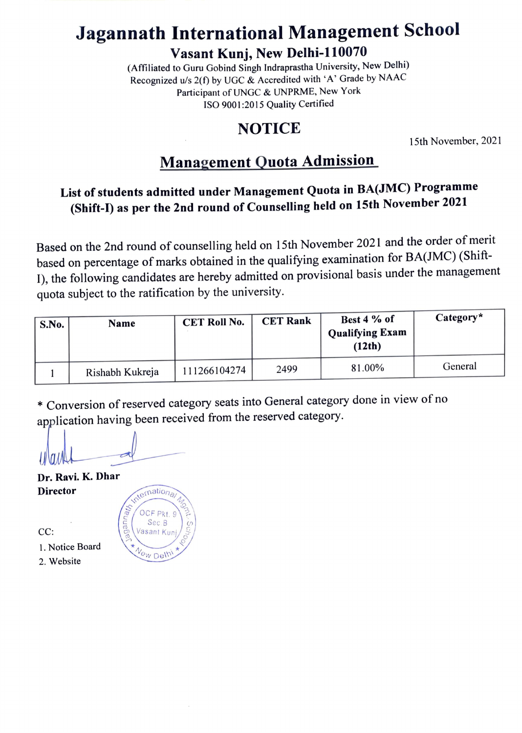# Jagannath International Management School

Vasant Kunj, New Delhi-110070

(Affiliated to Guru Gobind Singh Indraprastha University, New Delhi) Recognized u/s 2(f) by UGC & Accredited with 'A' Grade by NAAC Participant of UNGC& UNPRME, New York ISO 9001:2015 Quality Certified

### NOTICE

15th November, 2021

### Management Quota Admission

### List of students admitted under Management Quota in BA(IMC) Programme (Shift-I) as per the 2nd round of Counselling held on 15th November 2021

Based on the 2nd round of counselling held on 15th November 2021 and the order of merit based on percentage of marks obtained in the qualifying examination for BA(JMC) (Shift-I), the following candidates are hereby admitted on provisional basis under the management quota subject to the ratification by the university.

| S.No. | <b>Name</b>     | <b>CET Roll No.</b> | <b>CET Rank</b> | Best 4 % of<br><b>Qualifying Exam</b><br>(12th) | $Category*$ |
|-------|-----------------|---------------------|-----------------|-------------------------------------------------|-------------|
|       | Rishabh Kukreja | 111266104274        | 2499            | 81.00%                                          | General     |

\*Conversion of reserved category seats into General category done in view of no application having been received from the reserved category.

OCF Pkt. 9 Sec B

Me

Dr. Ravi. K. Dhar Director  $\sqrt{\frac{e^{r\left(n\right)}}{n}}$ 

 $CC:$   $\qquad \qquad$   $\qquad \qquad$   $\qquad \qquad$   $\qquad \qquad$   $\qquad \qquad$   $\qquad \qquad$   $\qquad \qquad$   $\qquad \qquad$   $\qquad \qquad$   $\qquad \qquad$   $\qquad \qquad$   $\qquad \qquad$   $\qquad \qquad$   $\qquad \qquad$   $\qquad \qquad$   $\qquad \qquad$   $\qquad \qquad$   $\qquad \qquad$   $\qquad \qquad$   $\qquad$   $\qquad \qquad$   $\qquad$   $\qquad \qquad$   $\qquad$   $\qquad$   $\q$ 

- 1. Notice Board  $\star_{\mathcal{N}_{\text{GW}}}$  Del<sup>11</sup>
-